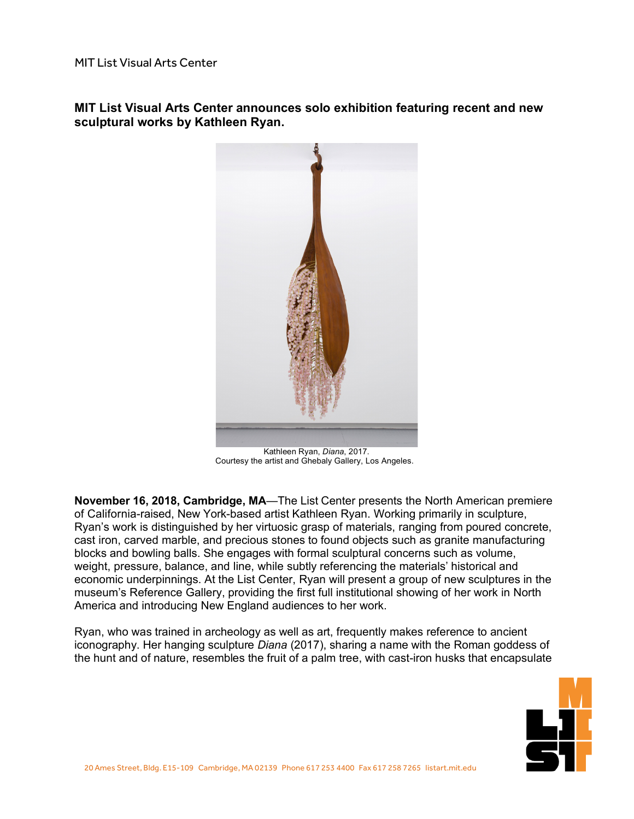**MIT List Visual Arts Center announces solo exhibition featuring recent and new sculptural works by Kathleen Ryan.**



Kathleen Ryan, *Diana*, 2017. Courtesy the artist and Ghebaly Gallery, Los Angeles.

**November 16, 2018, Cambridge, MA**—The List Center presents the North American premiere of California-raised, New York-based artist Kathleen Ryan. Working primarily in sculpture, Ryan's work is distinguished by her virtuosic grasp of materials, ranging from poured concrete, cast iron, carved marble, and precious stones to found objects such as granite manufacturing blocks and bowling balls. She engages with formal sculptural concerns such as volume, weight, pressure, balance, and line, while subtly referencing the materials' historical and economic underpinnings. At the List Center, Ryan will present a group of new sculptures in the museum's Reference Gallery, providing the first full institutional showing of her work in North America and introducing New England audiences to her work.

Ryan, who was trained in archeology as well as art, frequently makes reference to ancient iconography. Her hanging sculpture *Diana* (2017), sharing a name with the Roman goddess of the hunt and of nature, resembles the fruit of a palm tree, with cast-iron husks that encapsulate